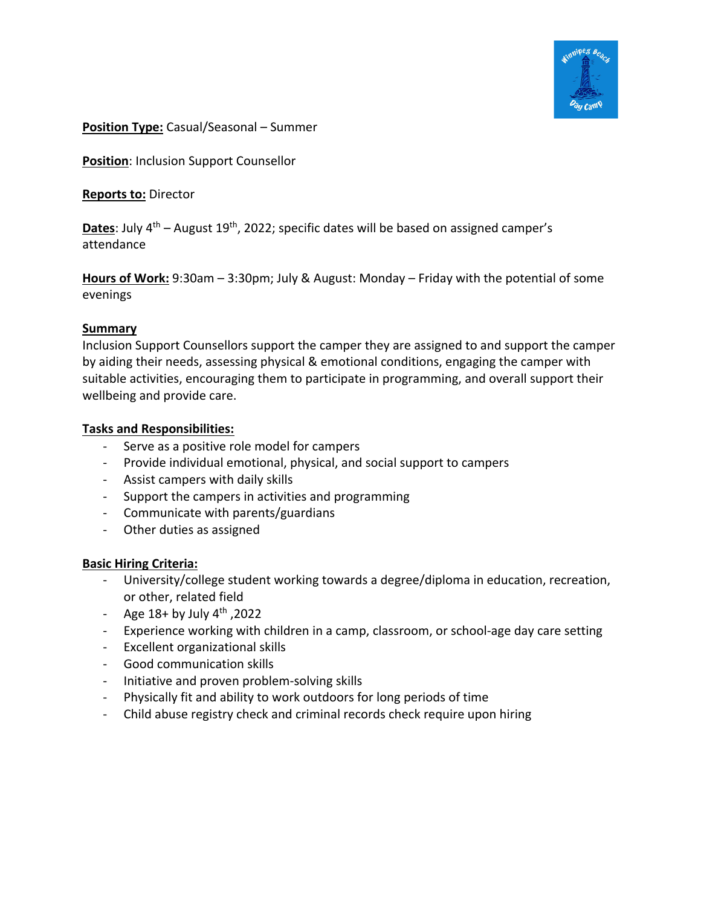

## **Position Type:** Casual/Seasonal – Summer

**Position**: Inclusion Support Counsellor

**Reports to:** Director

**Dates**: July 4<sup>th</sup> – August 19<sup>th</sup>, 2022; specific dates will be based on assigned camper's attendance

**Hours of Work:** 9:30am – 3:30pm; July & August: Monday – Friday with the potential of some evenings

# **Summary**

Inclusion Support Counsellors support the camper they are assigned to and support the camper by aiding their needs, assessing physical & emotional conditions, engaging the camper with suitable activities, encouraging them to participate in programming, and overall support their wellbeing and provide care.

# **Tasks and Responsibilities:**

- Serve as a positive role model for campers
- Provide individual emotional, physical, and social support to campers
- Assist campers with daily skills
- Support the campers in activities and programming
- Communicate with parents/guardians
- Other duties as assigned

## **Basic Hiring Criteria:**

- University/college student working towards a degree/diploma in education, recreation, or other, related field
- Age  $18+$  by July  $4<sup>th</sup>$ , 2022
- Experience working with children in a camp, classroom, or school-age day care setting
- Excellent organizational skills
- Good communication skills
- Initiative and proven problem-solving skills
- Physically fit and ability to work outdoors for long periods of time
- Child abuse registry check and criminal records check require upon hiring